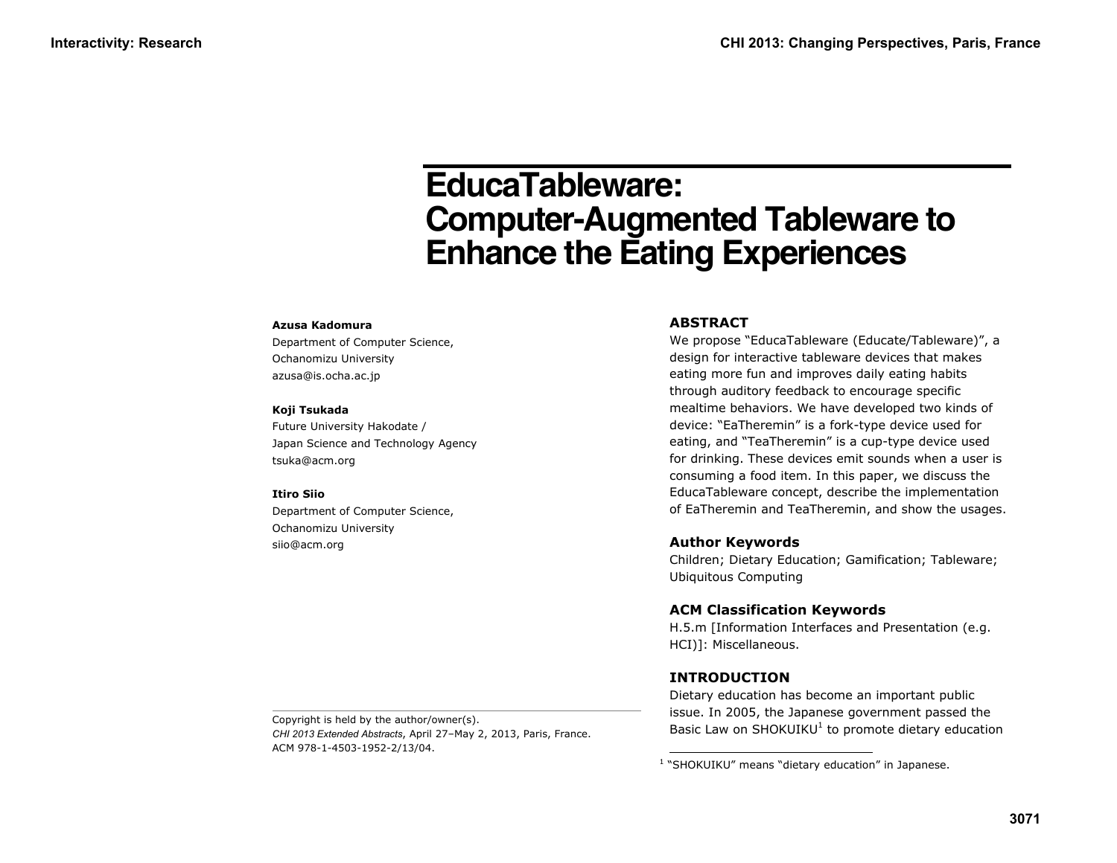# **EducaTableware: Computer-Augmented Tableware to Enhance the Eating Experiences**

#### **Azusa Kadomura**

Department of Computer Science, Ochanomizu University azusa@is.ocha.ac.jp

#### **Koji Tsukada**

Future University Hakodate / Japan Science and Technology Agency tsuka@acm.org

#### **Itiro Siio**

Department of Computer Science, Ochanomizu University siio@acm.org

#### **ABSTRACT**

We propose "EducaTableware (Educate/Tableware)", a design for interactive tableware devices that makes eating more fun and improves daily eating habits through auditory feedback to encourage specific mealtime behaviors. We have developed two kinds of device: "EaTheremin" is a fork-type device used for eating, and "TeaTheremin" is a cup-type device used for drinking. These devices emit sounds when a user is consuming a food item. In this paper, we discuss the EducaTableware concept, describe the implementation of EaTheremin and TeaTheremin, and show the usages.

#### **Author Keywords**

Children; Dietary Education; Gamification; Tableware; Ubiquitous Computing

## **ACM Classification Keywords**

H.5.m [Information Interfaces and Presentation (e.g. HCI)]: Miscellaneous.

## **INTRODUCTION**

Dietary education has become an important public issue. In 2005, the Japanese government passed the Basic Law on SHOKUIKU $1$  to promote dietary education

Copyright is held by the author/owner(s). *CHI 2013 Extended Abstracts*, April 27–May 2, 2013, Paris, France. ACM 978-1-4503-1952-2/13/04.

 $1$  "SHOKUIKU" means "dietary education" in Japanese.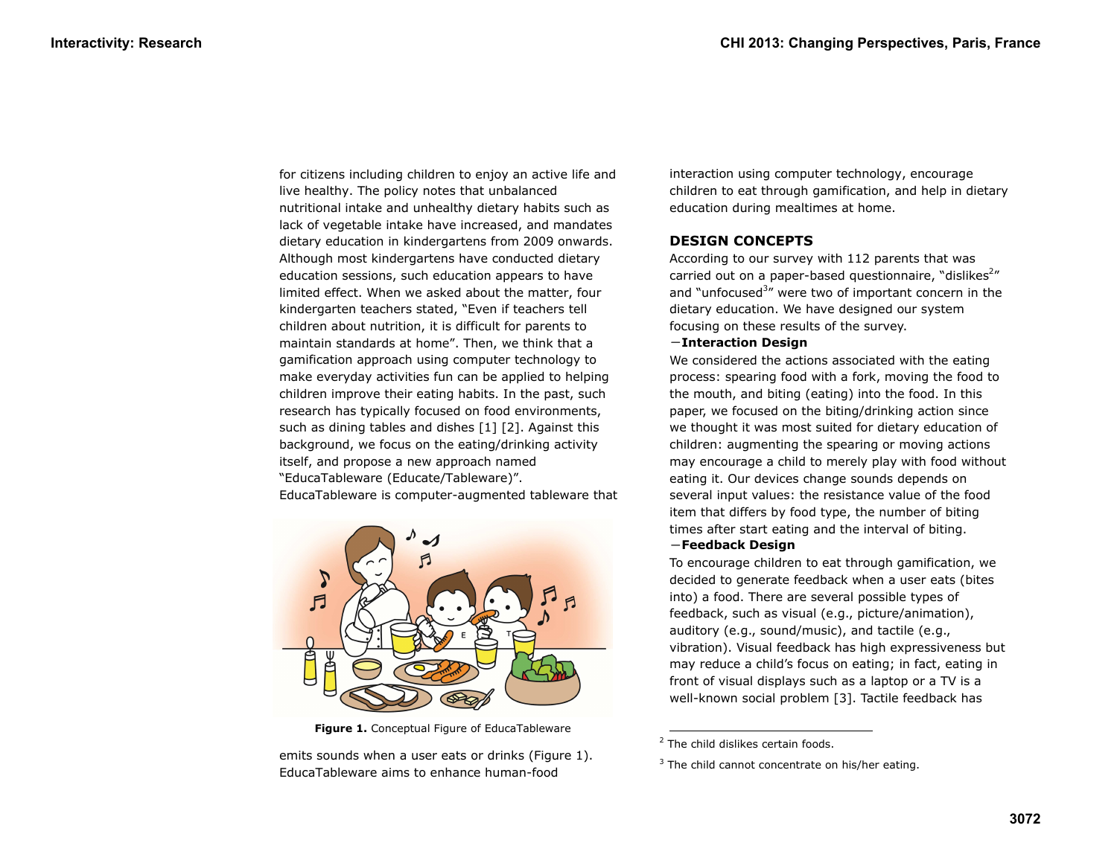for citizens including children to enjoy an active life and live healthy. The policy notes that unbalanced nutritional intake and unhealthy dietary habits such as lack of vegetable intake have increased, and mandates dietary education in kindergartens from 2009 onwards. Although most kindergartens have conducted dietary education sessions, such education appears to have limited effect. When we asked about the matter, four kindergarten teachers stated, "Even if teachers tell children about nutrition, it is difficult for parents to maintain standards at home". Then, we think that a gamification approach using computer technology to make everyday activities fun can be applied to helping children improve their eating habits. In the past, such research has typically focused on food environments, such as dining tables and dishes [1] [2]. Against this background, we focus on the eating/drinking activity itself, and propose a new approach named "EducaTableware (Educate/Tableware)".

EducaTableware is computer-augmented tableware that



**Figure 1.** Conceptual Figure of EducaTableware

emits sounds when a user eats or drinks (Figure 1). EducaTableware aims to enhance human-food

interaction using computer technology, encourage children to eat through gamification, and help in dietary education during mealtimes at home.

# **DESIGN CONCEPTS**

According to our survey with 112 parents that was carried out on a paper-based questionnaire, "dislikes<sup>2"</sup> and "unfocused<sup>3</sup>" were two of important concern in the dietary education. We have designed our system focusing on these results of the survey.

#### -**Interaction Design**

We considered the actions associated with the eating process: spearing food with a fork, moving the food to the mouth, and biting (eating) into the food. In this paper, we focused on the biting/drinking action since we thought it was most suited for dietary education of children: augmenting the spearing or moving actions may encourage a child to merely play with food without eating it. Our devices change sounds depends on several input values: the resistance value of the food item that differs by food type, the number of biting times after start eating and the interval of biting. -**Feedback Design** 

To encourage children to eat through gamification, we decided to generate feedback when a user eats (bites into) a food. There are several possible types of feedback, such as visual (e.g., picture/animation), auditory (e.g., sound/music), and tactile (e.g., vibration). Visual feedback has high expressiveness but may reduce a child's focus on eating; in fact, eating in front of visual displays such as a laptop or a TV is a well-known social problem [3]. Tactile feedback has

<sup>&</sup>lt;sup>2</sup> The child dislikes certain foods.

 $3$  The child cannot concentrate on his/her eating.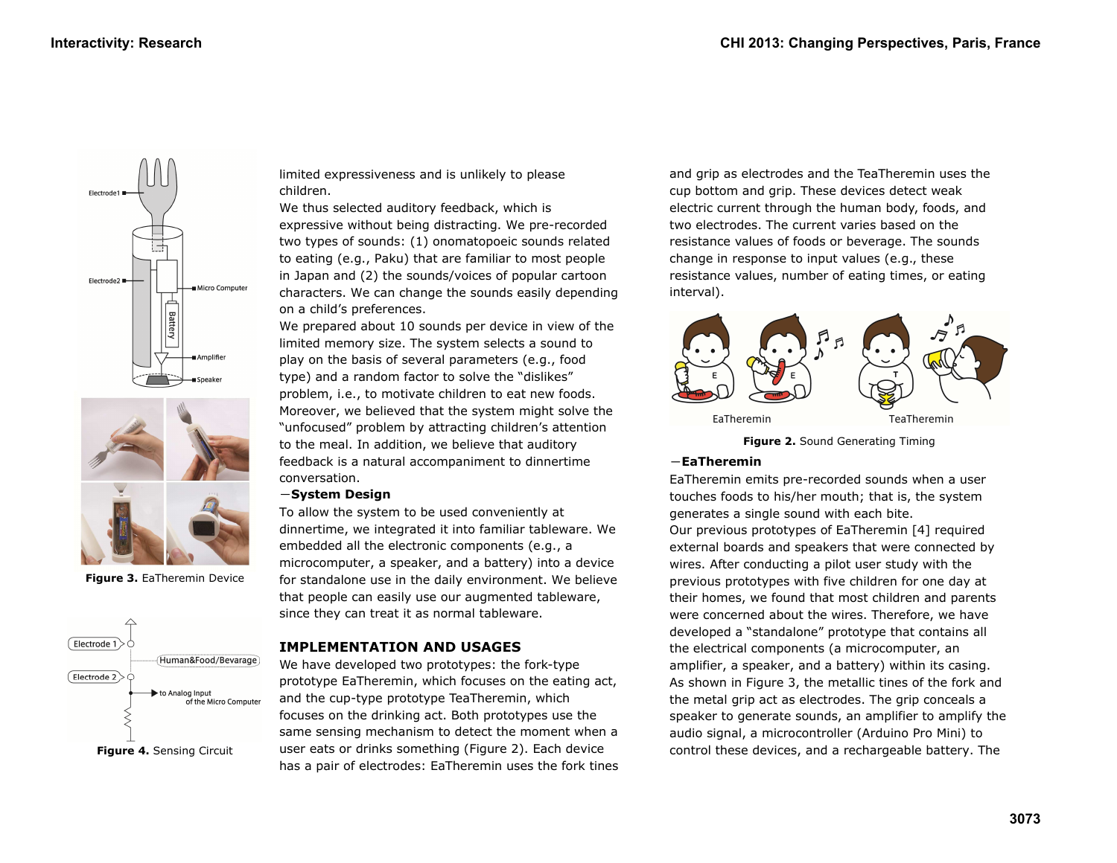



**Figure 3.** EaTheremin Device



limited expressiveness and is unlikely to please children.

We thus selected auditory feedback, which is expressive without being distracting. We pre-recorded two types of sounds: (1) onomatopoeic sounds related to eating (e.g., Paku) that are familiar to most people in Japan and (2) the sounds/voices of popular cartoon characters. We can change the sounds easily depending on a child's preferences.

We prepared about 10 sounds per device in view of the limited memory size. The system selects a sound to play on the basis of several parameters (e.g., food type) and a random factor to solve the "dislikes" problem, i.e., to motivate children to eat new foods. Moreover, we believed that the system might solve the "unfocused" problem by attracting children's attention to the meal. In addition, we believe that auditory feedback is a natural accompaniment to dinnertime conversation.

#### -**System Design**

To allow the system to be used conveniently at dinnertime, we integrated it into familiar tableware. We embedded all the electronic components (e.g., a microcomputer, a speaker, and a battery) into a device for standalone use in the daily environment. We believe that people can easily use our augmented tableware, since they can treat it as normal tableware.

# **IMPLEMENTATION AND USAGES**

We have developed two prototypes: the fork-type prototype EaTheremin, which focuses on the eating act, and the cup-type prototype TeaTheremin, which focuses on the drinking act. Both prototypes use the same sensing mechanism to detect the moment when a user eats or drinks something (Figure 2). Each device has a pair of electrodes: EaTheremin uses the fork tines and grip as electrodes and the TeaTheremin uses the cup bottom and grip. These devices detect weak electric current through the human body, foods, and two electrodes. The current varies based on the resistance values of foods or beverage. The sounds change in response to input values (e.g., these resistance values, number of eating times, or eating interval).



## -**EaTheremin**

EaTheremin emits pre-recorded sounds when a user touches foods to his/her mouth; that is, the system generates a single sound with each bite. Our previous prototypes of EaTheremin [4] required external boards and speakers that were connected by wires. After conducting a pilot user study with the previous prototypes with five children for one day at their homes, we found that most children and parents were concerned about the wires. Therefore, we have developed a "standalone" prototype that contains all the electrical components (a microcomputer, an amplifier, a speaker, and a battery) within its casing. As shown in Figure 3, the metallic tines of the fork and the metal grip act as electrodes. The grip conceals a speaker to generate sounds, an amplifier to amplify the audio signal, a microcontroller (Arduino Pro Mini) to control these devices, and a rechargeable battery. The